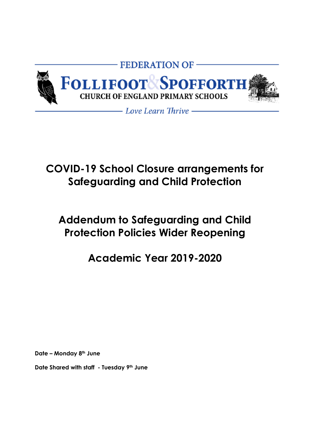

# **COVID-19 School Closure arrangements for Safeguarding and Child Protection**

# **Addendum to Safeguarding and Child Protection Policies Wider Reopening**

# **Academic Year 2019-2020**

**Date – Monday 8th June**

**Date Shared with staff - Tuesday 9th June**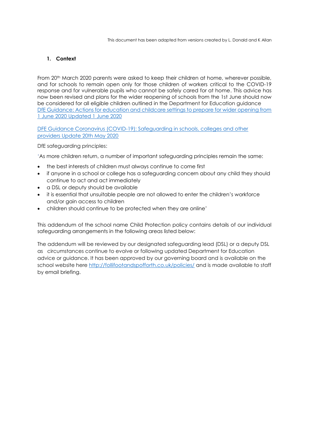# <span id="page-1-0"></span>**1. Context**

From 20<sup>th</sup> March 2020 parents were asked to keep their children at home, wherever possible, and for schools to remain open only for those children of workers critical to the COVID-19 response and for vulnerable pupils who cannot be safely cared for at home. This advice has now been revised and plans for the wider reopening of schools from the 1st June should now be considered for all eligible children outlined in the Department for Education guidance [DfE Guidance: Actions for education and childcare settings to prepare for wider opening from](https://www.gov.uk/government/publications/actions-for-educational-and-childcare-settings-to-prepare-for-wider-opening-from-1-june-2020/actions-for-education-and-childcare-settings-to-prepare-for-wider-opening-from-1-june-2020)  [1 June 2020 Updated 1 June 2020](https://www.gov.uk/government/publications/actions-for-educational-and-childcare-settings-to-prepare-for-wider-opening-from-1-june-2020/actions-for-education-and-childcare-settings-to-prepare-for-wider-opening-from-1-june-2020)

[DFE Guidance Coronavirus \(COVID-19\): Safeguarding in schools, colleges and other](https://www.gov.uk/government/publications/covid-19-safeguarding-in-schools-colleges-and-other-providers/coronavirus-covid-19-safeguarding-in-schools-colleges-and-other-providers)  [providers Update 20th May 2020](https://www.gov.uk/government/publications/covid-19-safeguarding-in-schools-colleges-and-other-providers/coronavirus-covid-19-safeguarding-in-schools-colleges-and-other-providers)

DfE safeguarding principles:

'As more children return, a number of important safeguarding principles remain the same:

- the best interests of children must always continue to come first
- if anyone in a school or college has a safeguarding concern about any child they should continue to act and act immediately
- a DSL or deputy should be available
- it is essential that unsuitable people are not allowed to enter the children's workforce and/or gain access to children
- children should continue to be protected when they are online'

This addendum of the school name Child Protection policy contains details of our individual safeguarding arrangements in the following areas listed below:

The addendum will be reviewed by our designated safeguarding lead (DSL) or a deputy DSL as circumstances continue to evolve or following updated Department for Education advice or guidance. It has been approved by our governing board and is available on the school website here <http://follifootandspofforth.co.uk/policies/> and is made available to staff by email briefing.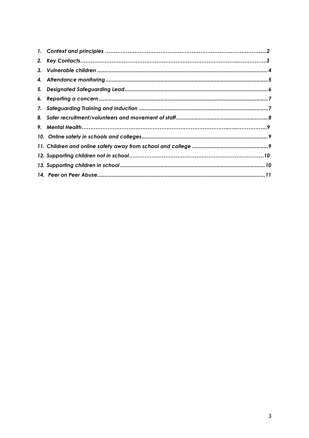| 9. |  |
|----|--|
|    |  |
|    |  |
|    |  |
|    |  |
|    |  |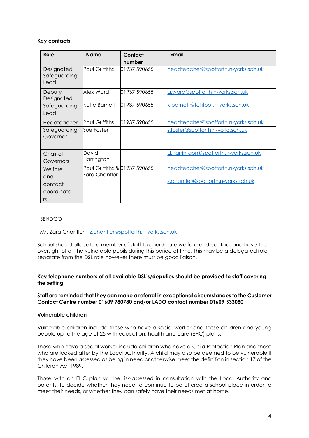# **Key contacts**

| Role                                 | Name                          | Contact<br>number            | Email                                                                 |
|--------------------------------------|-------------------------------|------------------------------|-----------------------------------------------------------------------|
| Designated<br>Safeguarding<br>Lead   | <b>Paul Griffiths</b>         | 01937 590655                 | headteacher@spofforth.n-yorks.sch.uk                                  |
| Deputy<br>Designated<br>Safeguarding | Alex Ward<br>Katie Barnett    | 01937 590655<br>01937 590655 | a.ward@spofforth.n-yorks.sch.uk<br>k.barnett@follifoot.n-yorks.sch.uk |
| Lead                                 |                               |                              |                                                                       |
| Headteacher                          | <b>Paul Griffiths</b>         | 01937 590655                 | headteacher@spofforth.n-yorks.sch.uk                                  |
| Safeguarding<br>Governor             | Sue Foster                    |                              | s.foster@spofforth.n-yorks.sch.uk                                     |
| Chair of                             | David                         |                              | d.harrintgon@spofforth.n-yorks.sch.uk                                 |
| Governors                            | Harrington                    |                              |                                                                       |
| Welfare                              | Paul Griffiths & 01937 590655 |                              | headteacher@spofforth.n-yorks.sch.uk                                  |
| and                                  | Zara Chantler                 |                              |                                                                       |
| contact                              |                               |                              | z.chantler@spofforth.n-yorks.sch.uk                                   |
| coordinato                           |                               |                              |                                                                       |
| rs                                   |                               |                              |                                                                       |

### SENDCO

Mrs Zara Chantler – [z.chantler@spofforth.n-yorks.sch.uk](mailto:z.chantler@spofforth.n-yorks.sch.uk)

School should allocate a member of staff to coordinate welfare and contact and have the oversight of all the vulnerable pupils during this period of time. This may be a delegated role separate from the DSL role however there must be good liaison.

## **Key telephone numbers of all available DSL's/deputies should be provided to staff covering the setting.**

#### **Staff are reminded that they can make a referral in exceptional circumstances to the Customer Contact Centre number 01609 780780 and/or LADO contact number 01609 533080**

## <span id="page-3-0"></span>**Vulnerable children**

Vulnerable children include those who have a social worker and those children and young people up to the age of 25 with education, health and care (EHC) plans.

Those who have a social worker include children who have a Child Protection Plan and those who are looked after by the Local Authority. A child may also be deemed to be vulnerable if they have been assessed as being in need or otherwise meet the definition in section 17 of the Children Act 1989.

Those with an EHC plan will be risk-assessed in consultation with the Local Authority and parents, to decide whether they need to continue to be offered a school place in order to meet their needs, or whether they can safely have their needs met at home.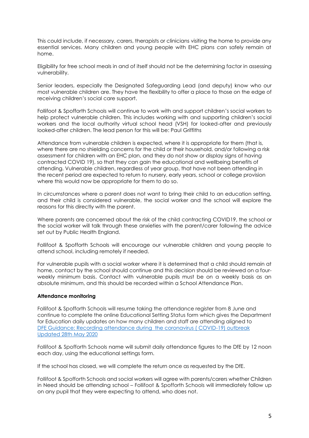This could include, if necessary, carers, therapists or clinicians visiting the home to provide any essential services. Many children and young people with EHC plans can safely remain at home.

Eligibility for free school meals in and of itself should not be the determining factor in assessing vulnerability.

Senior leaders, especially the Designated Safeguarding Lead (and deputy) know who our most vulnerable children are. They have the flexibility to offer a place to those on the edge of receiving children's social care support.

Follifoot & Spofforth Schools will continue to work with and support children's social workers to help protect vulnerable children. This includes working with and supporting children's social workers and the local authority virtual school head (VSH) for looked-after and previously looked-after children. The lead person for this will be: Paul Griffiths

Attendance from vulnerable children is expected, where it is appropriate for them (that is, where there are no shielding concerns for the child or their household, and/or following a risk assessment for children with an EHC plan, and they do not show or display signs of having contracted COVID 19), so that they can gain the educational and wellbeing benefits of attending. Vulnerable children, regardless of year group, that have not been attending in the recent period are expected to return to nursery, early years, school or college provision where this would now be appropriate for them to do so.

In circumstances where a parent does not want to bring their child to an education setting, and their child is considered vulnerable, the social worker and the school will explore the reasons for this directly with the parent.

Where parents are concerned about the risk of the child contracting COVID19, the school or the social worker will talk through these anxieties with the parent/carer following the advice set out by Public Health England.

Follifoot & Spofforth Schools will encourage our vulnerable children and young people to attend school, including remotely if needed.

For vulnerable pupils with a social worker where it is determined that a child should remain at home, contact by the school should continue and this decision should be reviewed on a fourweekly minimum basis. Contact with vulnerable pupils must be on a weekly basis as an absolute minimum, and this should be recorded within a School Attendance Plan.

### <span id="page-4-0"></span>**Attendance monitoring**

Follifoot & Spofforth Schools will resume taking the attendance register from 8 June and continue to complete the online Educational Setting Status form which gives the Department for Education daily updates on how many children and staff are attending aligned to [DFE Guidance: Recording attendance during the coronavirus \( COVID-19\) outbreak](https://www.gov.uk/government/publications/coronavirus-covid-19-attendance-recording-for-educational-settings)  [Updated 28th May 2020](https://www.gov.uk/government/publications/coronavirus-covid-19-attendance-recording-for-educational-settings)

Follifoot & Spofforth Schools name will submit daily attendance figures to the DfE by 12 noon each day, using the educational settings form.

If the school has closed, we will complete the return once as requested by the DfE.

Follifoot & Spofforth Schools and social workers will agree with parents/carers whether Children in Need should be attending school – Follifoot & Spofforth Schools will immediately follow up on any pupil that they were expecting to attend, who does not.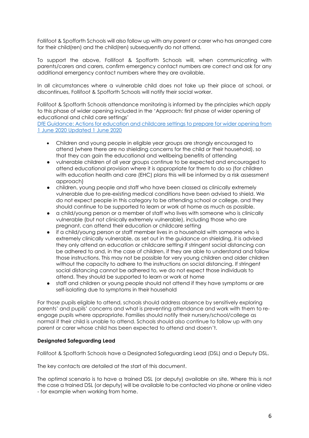Follifoot & Spofforth Schools will also follow up with any parent or carer who has arranged care for their child(ren) and the child(ren) subsequently do not attend.

To support the above, Follifoot & Spofforth Schools will, when communicating with parents/carers and carers, confirm emergency contact numbers are correct and ask for any additional emergency contact numbers where they are available.

In all circumstances where a vulnerable child does not take up their place at school, or discontinues, Follifoot & Spofforth Schools will notify their social worker.

Follifoot & Spofforth Schools attendance monitoring is informed by the principles which apply to this phase of wider opening included in the 'Approach: first phase of wider opening of educational and child care settings'

[DfE Guidance: Actions for education and childcare settings to prepare for wider opening from](https://www.gov.uk/government/publications/actions-for-educational-and-childcare-settings-to-prepare-for-wider-opening-from-1-june-2020/actions-for-education-and-childcare-settings-to-prepare-for-wider-opening-from-1-june-2020)  [1 June 2020 Updated 1 June 2020](https://www.gov.uk/government/publications/actions-for-educational-and-childcare-settings-to-prepare-for-wider-opening-from-1-june-2020/actions-for-education-and-childcare-settings-to-prepare-for-wider-opening-from-1-june-2020)

- Children and young people in eligible year groups are strongly encouraged to attend (where there are no shielding concerns for the child or their household), so that they can gain the educational and wellbeing benefits of attending
- vulnerable children of all year groups continue to be expected and encouraged to attend educational provision where it is appropriate for them to do so (for children with education health and care (EHC) plans this will be informed by a risk assessment approach)
- children, young people and staff who have been classed as clinically extremely vulnerable due to pre-existing medical conditions have been advised to shield. We do not expect people in this category to be attending school or college, and they should continue to be supported to learn or work at home as much as possible.
- a child/young person or a member of staff who lives with someone who is clinically vulnerable (but not clinically extremely vulnerable), including those who are pregnant, can attend their education or childcare setting
- if a child/young person or staff member lives in a household with someone who is extremely clinically vulnerable, as set out in the guidance on shielding, it is advised they only attend an education or childcare setting if stringent social distancing can be adhered to and, in the case of children, if they are able to understand and follow those instructions. This may not be possible for very young children and older children without the capacity to adhere to the instructions on social distancing. If stringent social distancing cannot be adhered to, we do not expect those individuals to attend. They should be supported to learn or work at home
- staff and children or young people should not attend if they have symptoms or are self-isolating due to symptoms in their household

For those pupils eligible to attend, schools should address absence by sensitively exploring parents' and pupils' concerns and what is preventing attendance and work with them to reengage pupils where appropriate. Families should notify their nursery/school/college as normal if their child is unable to attend. Schools should also continue to follow up with any parent or carer whose child has been expected to attend and doesn't.

# <span id="page-5-0"></span>**Designated Safeguarding Lead**

Follifoot & Spofforth Schools have a Designated Safeguarding Lead (DSL) and a Deputy DSL.

The key contacts are detailed at the start of this document.

The optimal scenario is to have a trained DSL (or deputy) available on site. Where this is not the case a trained DSL (or deputy) will be available to be contacted via phone or online video - for example when working from home.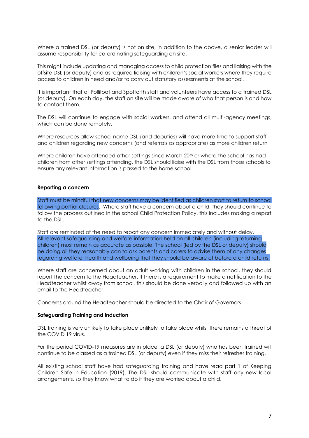Where a trained DSL (or deputy) is not on site, in addition to the above, a senior leader will assume responsibility for co-ordinating safeguarding on site.

This might include updating and managing access to child protection files and liaising with the offsite DSL (or deputy) and as required liaising with children's social workers where they require access to children in need and/or to carry out statutory assessments at the school.

It is important that all Follifoot and Spofforth staff and volunteers have access to a trained DSL (or deputy). On each day, the staff on site will be made aware of who that person is and how to contact them.

The DSL will continue to engage with social workers, and attend all multi-agency meetings, which can be done remotely.

Where resources allow school name DSL (and deputies) will have more time to support staff and children regarding new concerns (and referrals as appropriate) as more children return

Where children have attended other settings since March 20<sup>th</sup> or where the school has had children from other settings attending, the DSL should liaise with the DSL from those schools to ensure any relevant information is passed to the home school.

#### <span id="page-6-0"></span>**Reporting a concern**

Staff must be mindful that new concerns may be identified as children start to return to school following partial closures. Where staff have a concern about a child, they should continue to follow the process outlined in the school Child Protection Policy, this includes making a report to the DSL.

Staff are reminded of the need to report any concern immediately and without delay. All relevant safeguarding and welfare information held on all children (including returning children) must remain as accurate as possible. The school (led by the DSL or deputy) should be doing all they reasonably can to ask parents and carers to advise them of any changes regarding welfare, health and wellbeing that they should be aware of before a child returns.

Where staff are concerned about an adult working with children in the school, they should report the concern to the Headteacher. If there is a requirement to make a notification to the Headteacher whilst away from school, this should be done verbally and followed up with an email to the Headteacher.

Concerns around the Headteacher should be directed to the Chair of Governors.

#### <span id="page-6-1"></span>**Safeguarding Training and induction**

DSL training is very unlikely to take place unlikely to take place whilst there remains a threat of the COVID 19 virus.

For the period COVID-19 measures are in place, a DSL (or deputy) who has been trained will continue to be classed as a trained DSL (or deputy) even if they miss their refresher training.

All existing school staff have had safeguarding training and have read part 1 of Keeping Children Safe in Education (2019). The DSL should communicate with staff any new local arrangements, so they know what to do if they are worried about a child.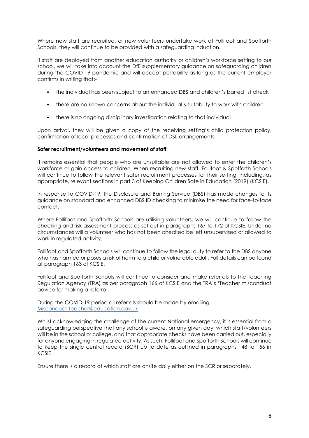Where new staff are recruited, or new volunteers undertake work at Follifoot and Spofforth Schools, they will continue to be provided with a safeguarding induction.

If staff are deployed from another education authority or children's workforce setting to our school, we will take into account the DfE supplementary guidance on safeguarding children during the COVID-19 pandemic and will accept portability as long as the current employer confirms in writing that:-

- the individual has been subject to an enhanced DBS and children's barred list check
- there are no known concerns about the individual's suitability to work with children
- there is no ongoing disciplinary investigation relating to that individual

Upon arrival, they will be given a copy of the receiving setting's child protection policy, confirmation of local processes and confirmation of DSL arrangements.

### <span id="page-7-0"></span>**Safer recruitment/volunteers and movement of staff**

It remains essential that people who are unsuitable are not allowed to enter the children's workforce or gain access to children. When recruiting new staff, Follifoot & Spofforth Schools will continue to follow the relevant safer recruitment processes for their setting, including, as appropriate, relevant sections in part 3 of Keeping Children Safe in Education (2019) (KCSIE).

In response to COVID-19, the Disclosure and Barring Service (DBS) has made changes to its guidance on standard and enhanced DBS ID checking to minimise the need for face-to-face contact.

Where Follifoot and Spofforth Schools are utilising volunteers, we will continue to follow the checking and risk assessment process as set out in paragraphs 167 to 172 of KCSIE. Under no circumstances will a volunteer who has not been checked be left unsupervised or allowed to work in regulated activity.

Follifoot and Spofforth Schools will continue to follow the legal duty to refer to the DBS anyone who has harmed or poses a risk of harm to a child or vulnerable adult. Full details can be found at paragraph 163 of KCSIE.

Follifoot and Spofforth Schools will continue to consider and make referrals to the Teaching Regulation Agency (TRA) as per paragraph 166 of KCSIE and the TRA's 'Teacher misconduct advice for making a referral.

During the COVID-19 period all referrals should be made by emailing [Misconduct.Teacher@education.gov.uk](mailto:Misconduct.Teacher@education.gov.uk)

Whilst acknowledging the challenge of the current National emergency, it is essential from a safeguarding perspective that any school is aware, on any given day, which staff/volunteers will be in the school or college, and that appropriate checks have been carried out, especially for anyone engaging in regulated activity. As such, Follifoot and Spofforth Schools will continue to keep the single central record (SCR) up to date as outlined in paragraphs 148 to 156 in KCSIE.

Ensure there is a record of which staff are onsite daily either on the SCR or separately.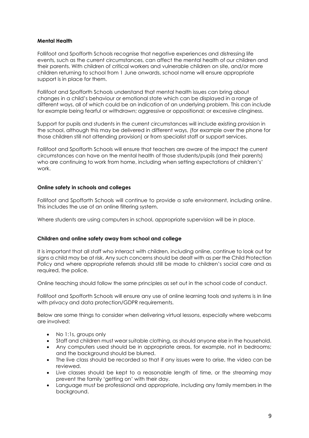# **Mental Health**

Follifoot and Spofforth Schools recognise that negative experiences and distressing life events, such as the current circumstances, can affect the mental health of our children and their parents. With children of critical workers and vulnerable children on site, and/or more children returning to school from 1 June onwards, school name will ensure appropriate support is in place for them.

Follifoot and Spofforth Schools understand that mental health issues can bring about changes in a child's behaviour or emotional state which can be displayed in a range of different ways, all of which could be an indication of an underlying problem. This can include for example being fearful or withdrawn; aggressive or oppositional; or excessive clinginess.

Support for pupils and students in the current circumstances will include existing provision in the school, although this may be delivered in different ways, (for example over the phone for those children still not attending provision) or from specialist staff or support services.

Follifoot and Spofforth Schools will ensure that teachers are aware of the impact the current circumstances can have on the mental health of those students/pupils (and their parents) who are continuing to work from home, including when setting expectations of children's' work.

### <span id="page-8-0"></span>**Online safety in schools and colleges**

Follifoot and Spofforth Schools will continue to provide a safe environment, including online. This includes the use of an online filtering system.

Where students are using computers in school, appropriate supervision will be in place.

# <span id="page-8-1"></span>**Children and online safety away from school and college**

It is important that all staff who interact with children, including online, continue to look out for signs a child may be at risk. Any such concerns should be dealt with as per the Child Protection Policy and where appropriate referrals should still be made to children's social care and as required, the police.

Online teaching should follow the same principles as set out in the school code of conduct.

Follifoot and Spofforth Schools will ensure any use of online learning tools and systems is in line with privacy and data protection/GDPR requirements.

Below are some things to consider when delivering virtual lessons, especially where webcams are involved:

- No 1:1s, groups only
- Staff and children must wear suitable clothing, as should anyone else in the household.
- Any computers used should be in appropriate areas, for example, not in bedrooms; and the background should be blurred.
- The live class should be recorded so that if any issues were to arise, the video can be reviewed.
- Live classes should be kept to a reasonable length of time, or the streaming may prevent the family 'getting on' with their day.
- Language must be professional and appropriate, including any family members in the background.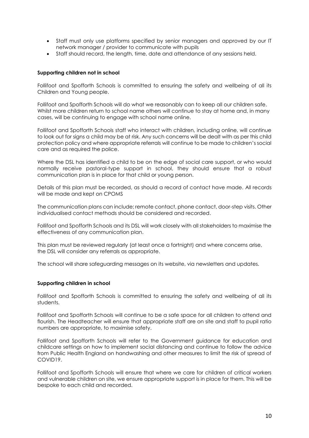- Staff must only use platforms specified by senior managers and approved by our IT network manager / provider to communicate with pupils
- Staff should record, the length, time, date and attendance of any sessions held.

## **Supporting children not in school**

Follifoot and Spofforth Schools is committed to ensuring the safety and wellbeing of all its Children and Young people.

Follifoot and Spofforth Schools will do what we reasonably can to keep all our children safe. Whilst more children return to school name others will continue to stay at home and, in many cases, will be continuing to engage with school name online.

Follifoot and Spofforth Schools staff who interact with children, including online, will continue to look out for signs a child may be at risk. Any such concerns will be dealt with as per this child protection policy and where appropriate referrals will continue to be made to children's social care and as required the police.

Where the DSL has identified a child to be on the edge of social care support, or who would normally receive pastoral-type support in school, they should ensure that a robust communication plan is in place for that child or young person.

Details of this plan must be recorded, as should a record of contact have made. All records will be made and kept on CPOMS

The communication plans can include; remote contact, phone contact, door-step visits. Other individualised contact methods should be considered and recorded.

Follifoot and Spofforth Schools and its DSL will work closely with all stakeholders to maximise the effectiveness of any communication plan.

This plan must be reviewed regularly (at least once a fortnight) and where concerns arise, the DSL will consider any referrals as appropriate.

The school will share safeguarding messages on its website, via newsletters and updates.

### <span id="page-9-0"></span>**Supporting children in school**

Follifoot and Spofforth Schools is committed to ensuring the safety and wellbeing of all its students.

Follifoot and Spofforth Schools will continue to be a safe space for all children to attend and flourish. The Headteacher will ensure that appropriate staff are on site and staff to pupil ratio numbers are appropriate, to maximise safety.

Follifoot and Spofforth Schools will refer to the Government guidance for education and childcare settings on how to implement social distancing and continue to follow the advice from Public Health England on handwashing and other measures to limit the risk of spread of COVID19.

Follifoot and Spofforth Schools will ensure that where we care for children of critical workers and vulnerable children on site, we ensure appropriate support is in place for them. This will be bespoke to each child and recorded.